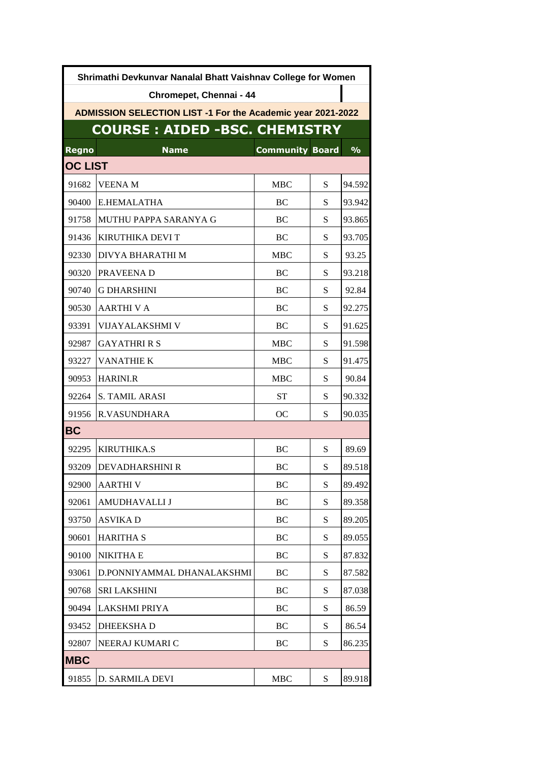| Shrimathi Devkunvar Nanalal Bhatt Vaishnav College for Women       |                            |                        |           |               |  |  |  |
|--------------------------------------------------------------------|----------------------------|------------------------|-----------|---------------|--|--|--|
|                                                                    | Chromepet, Chennai - 44    |                        |           |               |  |  |  |
| <b>ADMISSION SELECTION LIST -1 For the Academic year 2021-2022</b> |                            |                        |           |               |  |  |  |
| <b>COURSE : AIDED -BSC. CHEMISTRY</b>                              |                            |                        |           |               |  |  |  |
| <b>Regno</b>                                                       | <b>Name</b>                | <b>Community Board</b> |           | $\frac{9}{6}$ |  |  |  |
| <b>OC LIST</b>                                                     |                            |                        |           |               |  |  |  |
| 91682                                                              | <b>VEENAM</b>              | <b>MBC</b>             | S         | 94.592        |  |  |  |
| 90400                                                              | E.HEMALATHA                | BC                     | S         | 93.942        |  |  |  |
| 91758                                                              | MUTHU PAPPA SARANYA G      | BC                     | S         | 93.865        |  |  |  |
| 91436                                                              | KIRUTHIKA DEVI T           | BC                     | S         | 93.705        |  |  |  |
| 92330                                                              | DIVYA BHARATHI M           | <b>MBC</b>             | S         | 93.25         |  |  |  |
| 90320                                                              | PRAVEENA D                 | BC                     | S         | 93.218        |  |  |  |
| 90740                                                              | <b>G DHARSHINI</b>         | BC                     | S         | 92.84         |  |  |  |
| 90530                                                              | <b>AARTHIVA</b>            | BC                     | S         | 92.275        |  |  |  |
| 93391                                                              | <b>VIJAYALAKSHMI V</b>     | BC                     | S         | 91.625        |  |  |  |
| 92987                                                              | <b>GAYATHRI R S</b>        | <b>MBC</b>             | S         | 91.598        |  |  |  |
| 93227                                                              | <b>VANATHIE K</b>          | <b>MBC</b>             | S         | 91.475        |  |  |  |
| 90953                                                              | <b>HARINI.R</b>            | <b>MBC</b>             | S         | 90.84         |  |  |  |
| 92264                                                              | <b>S. TAMIL ARASI</b>      | <b>ST</b>              | S         | 90.332        |  |  |  |
| 91956                                                              | <b>R.VASUNDHARA</b>        | OC                     | S         | 90.035        |  |  |  |
| <b>BC</b>                                                          |                            |                        |           |               |  |  |  |
| 92295                                                              | KIRUTHIKA.S                | BC                     | S         | 89.69         |  |  |  |
| 93209                                                              | <b>DEVADHARSHINI R</b>     | BC                     | S         | 89.518        |  |  |  |
| 92900                                                              | <b>AARTHIV</b>             | BC                     | S         | 89.492        |  |  |  |
| 92061                                                              | AMUDHAVALLI J              | BC                     | S         | 89.358        |  |  |  |
| 93750                                                              | <b>ASVIKAD</b>             | BC                     | S         | 89.205        |  |  |  |
| 90601                                                              | <b>HARITHA S</b>           | BC                     | S         | 89.055        |  |  |  |
| 90100                                                              | <b>NIKITHA E</b>           | BC                     | S         | 87.832        |  |  |  |
| 93061                                                              | D.PONNIYAMMAL DHANALAKSHMI | BC                     | S         | 87.582        |  |  |  |
| 90768                                                              | <b>SRI LAKSHINI</b>        | BC                     | S         | 87.038        |  |  |  |
| 90494                                                              | LAKSHMI PRIYA              | BC                     | S         | 86.59         |  |  |  |
| 93452                                                              | <b>DHEEKSHAD</b>           | BC                     | S         | 86.54         |  |  |  |
| 92807                                                              | NEERAJ KUMARI C            | BC                     | S         | 86.235        |  |  |  |
| <b>MBC</b>                                                         |                            |                        |           |               |  |  |  |
| 91855                                                              | D. SARMILA DEVI            | <b>MBC</b>             | ${\bf S}$ | 89.918        |  |  |  |